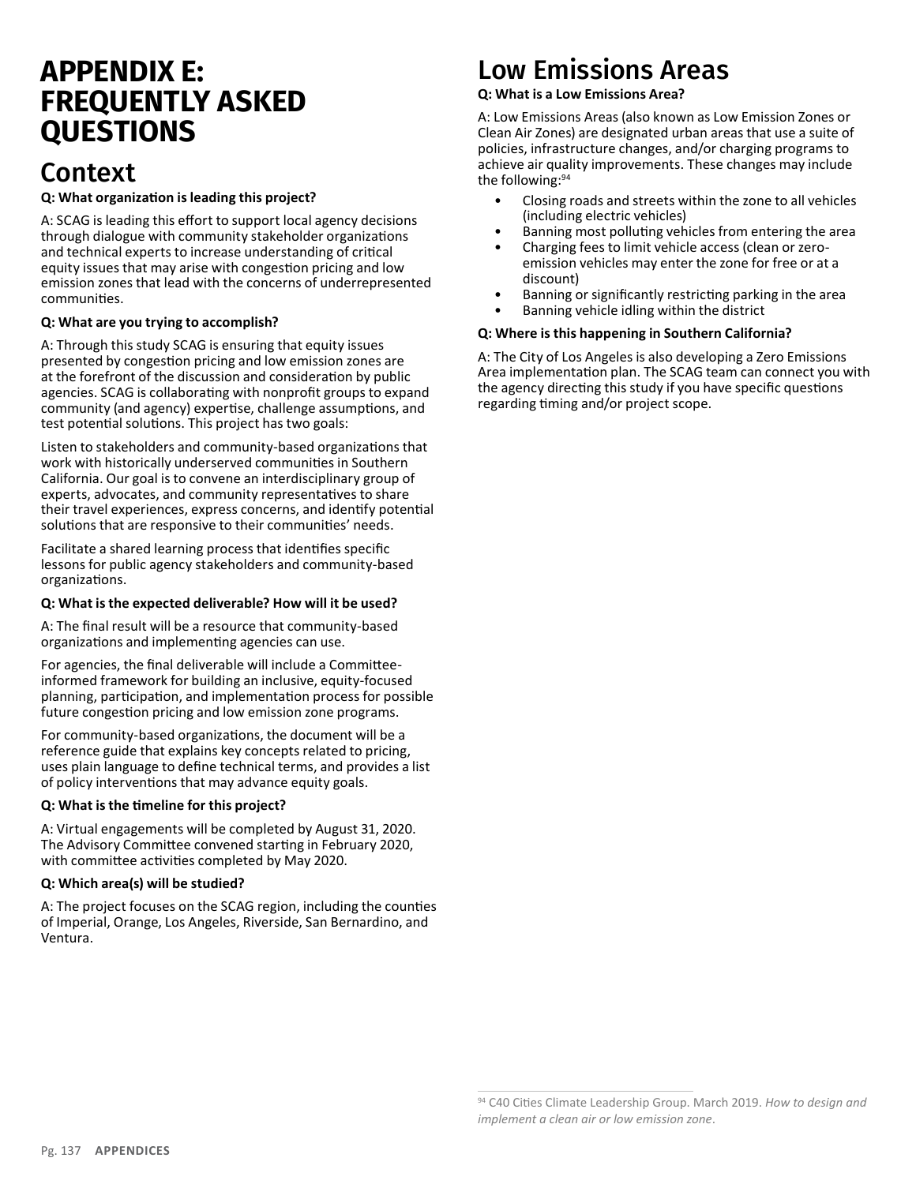# **APPENDIX E: FREQUENTLY ASKED QUESTIONS**

### Context

#### **Q: What organization is leading this project?**

A: SCAG is leading this effort to support local agency decisions through dialogue with community stakeholder organizations and technical experts to increase understanding of critical equity issues that may arise with congestion pricing and low emission zones that lead with the concerns of underrepresented communities.

#### **Q: What are you trying to accomplish?**

A: Through this study SCAG is ensuring that equity issues presented by congestion pricing and low emission zones are at the forefront of the discussion and consideration by public agencies. SCAG is collaborating with nonprofit groups to expand community (and agency) expertise, challenge assumptions, and test potential solutions. This project has two goals:

Listen to stakeholders and community-based organizations that work with historically underserved communities in Southern California. Our goal is to convene an interdisciplinary group of experts, advocates, and community representatives to share their travel experiences, express concerns, and identify potential solutions that are responsive to their communities' needs.

Facilitate a shared learning process that identifies specific lessons for public agency stakeholders and community-based organizations.

#### **Q: What is the expected deliverable? How will it be used?**

A: The final result will be a resource that community-based organizations and implementing agencies can use.

For agencies, the final deliverable will include a Committeeinformed framework for building an inclusive, equity-focused planning, participation, and implementation process for possible future congestion pricing and low emission zone programs.

For community-based organizations, the document will be a reference guide that explains key concepts related to pricing, uses plain language to define technical terms, and provides a list of policy interventions that may advance equity goals.

#### **Q: What is the timeline for this project?**

A: Virtual engagements will be completed by August 31, 2020. The Advisory Committee convened starting in February 2020, with committee activities completed by May 2020.

#### **Q: Which area(s) will be studied?**

A: The project focuses on the SCAG region, including the counties of Imperial, Orange, Los Angeles, Riverside, San Bernardino, and Ventura.

# Low Emissions Areas

#### **Q: What is a Low Emissions Area?**

A: Low Emissions Areas (also known as Low Emission Zones or Clean Air Zones) are designated urban areas that use a suite of policies, infrastructure changes, and/or charging programs to achieve air quality improvements. These changes may include the following:94

- Closing roads and streets within the zone to all vehicles (including electric vehicles)
- Banning most polluting vehicles from entering the area
- Charging fees to limit vehicle access (clean or zeroemission vehicles may enter the zone for free or at a discount)
- Banning or significantly restricting parking in the area
- Banning vehicle idling within the district

### **Q: Where is this happening in Southern California?**

A: The City of Los Angeles is also developing a Zero Emissions Area implementation plan. The SCAG team can connect you with the agency directing this study if you have specific questions regarding timing and/or project scope.

<sup>94</sup> C40 Cities Climate Leadership Group. March 2019. *How to design and implement a clean air or low emission zone*.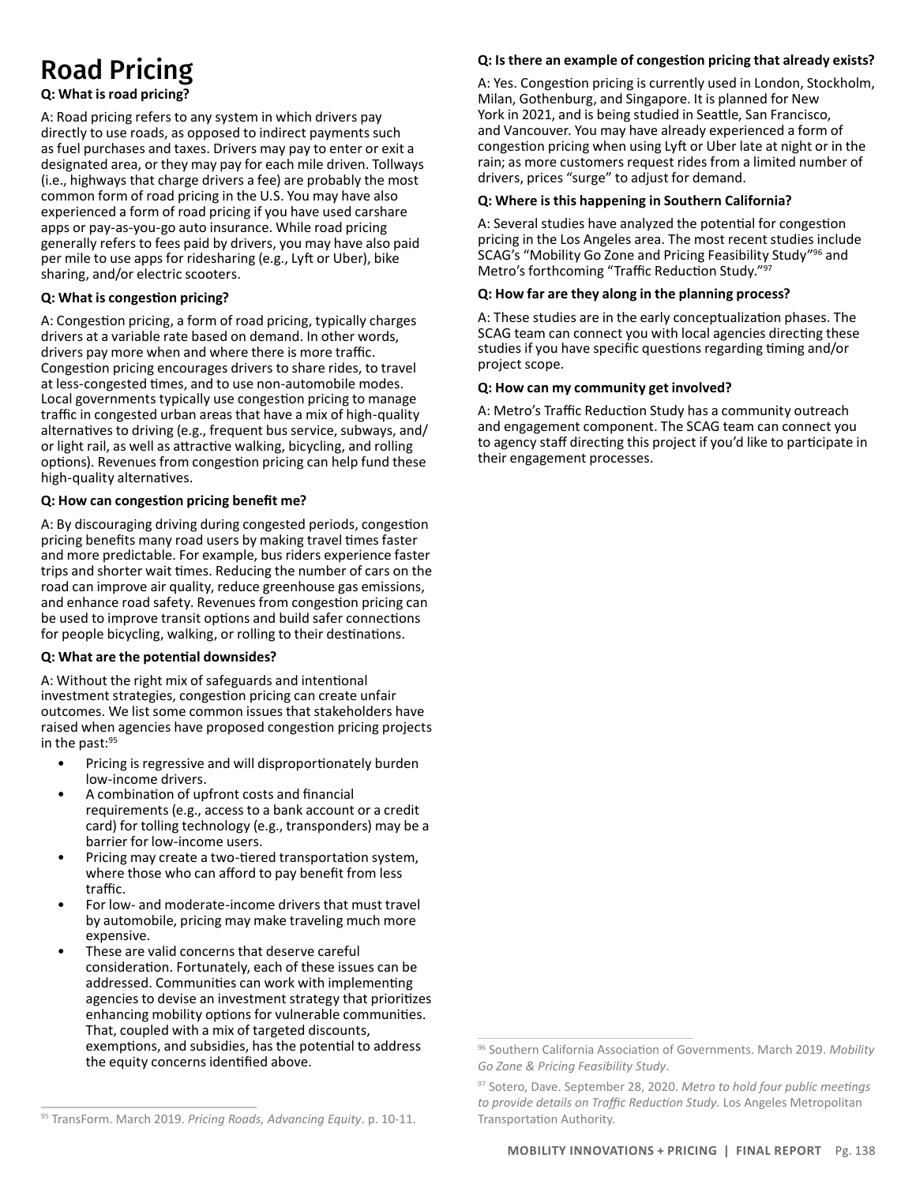# Road Pricing

#### **Q: What is road pricing?**

A: Road pricing refers to any system in which drivers pay directly to use roads, as opposed to indirect payments such as fuel purchases and taxes. Drivers may pay to enter or exit a designated area, or they may pay for each mile driven. Tollways (i.e., highways that charge drivers a fee) are probably the most common form of road pricing in the U.S. You may have also experienced a form of road pricing if you have used carshare apps or pay-as-you-go auto insurance. While road pricing generally refers to fees paid by drivers, you may have also paid per mile to use apps for ridesharing (e.g., Lyft or Uber), bike sharing, and/or electric scooters.

#### **Q: What is congestion pricing?**

A: Congestion pricing, a form of road pricing, typically charges drivers at a variable rate based on demand. In other words, drivers pay more when and where there is more traffic. Congestion pricing encourages drivers to share rides, to travel at less-congested times, and to use non-automobile modes. Local governments typically use congestion pricing to manage traffic in congested urban areas that have a mix of high-quality alternatives to driving (e.g., frequent bus service, subways, and/ or light rail, as well as attractive walking, bicycling, and rolling options). Revenues from congestion pricing can help fund these high-quality alternatives.

#### **Q: How can congestion pricing benefit me?**

A: By discouraging driving during congested periods, congestion pricing benefits many road users by making travel times faster and more predictable. For example, bus riders experience faster trips and shorter wait times. Reducing the number of cars on the road can improve air quality, reduce greenhouse gas emissions, and enhance road safety. Revenues from congestion pricing can be used to improve transit options and build safer connections for people bicycling, walking, or rolling to their destinations.

#### **Q: What are the potential downsides?**

A: Without the right mix of safeguards and intentional investment strategies, congestion pricing can create unfair outcomes. We list some common issues that stakeholders have raised when agencies have proposed congestion pricing projects in the past:<sup>95</sup>

- Pricing is regressive and will disproportionately burden low-income drivers.
- A combination of upfront costs and financial requirements (e.g., access to a bank account or a credit card) for tolling technology (e.g., transponders) may be a barrier for low-income users.
- Pricing may create a two-tiered transportation system, where those who can afford to pay benefit from less traffic.
- For low- and moderate-income drivers that must travel by automobile, pricing may make traveling much more expensive.
- These are valid concerns that deserve careful consideration. Fortunately, each of these issues can be addressed. Communities can work with implementing agencies to devise an investment strategy that prioritizes enhancing mobility options for vulnerable communities. That, coupled with a mix of targeted discounts, exemptions, and subsidies, has the potential to address the equity concerns identified above.

#### **Q: Is there an example of congestion pricing that already exists?**

A: Yes. Congestion pricing is currently used in London, Stockholm, Milan, Gothenburg, and Singapore. It is planned for New York in 2021, and is being studied in Seattle, San Francisco, and Vancouver. You may have already experienced a form of congestion pricing when using Lyft or Uber late at night or in the rain; as more customers request rides from a limited number of drivers, prices "surge" to adjust for demand.

#### **Q: Where is this happening in Southern California?**

A: Several studies have analyzed the potential for congestion pricing in the Los Angeles area. The most recent studies include SCAG's "Mobility Go Zone and Pricing Feasibility Study"<sup>96</sup> and Metro's forthcoming "Traffic Reduction Study."97

#### **Q: How far are they along in the planning process?**

A: These studies are in the early conceptualization phases. The SCAG team can connect you with local agencies directing these studies if you have specific questions regarding timing and/or project scope.

#### **Q: How can my community get involved?**

A: Metro's Traffic Reduction Study has a community outreach and engagement component. The SCAG team can connect you to agency staff directing this project if you'd like to participate in their engagement processes.

<sup>96</sup> Southern California Association of Governments. March 2019. *Mobility Go Zone & Pricing Feasibility Study*.

<sup>97</sup> Sotero, Dave. September 28, 2020. *Metro to hold four public meetings to provide details on Traffic Reduction Study*. Los Angeles Metropolitan Transportation Authority.

<sup>95</sup> TransForm. March 2019. *Pricing Roads, Advancing Equity*. p. 10-11.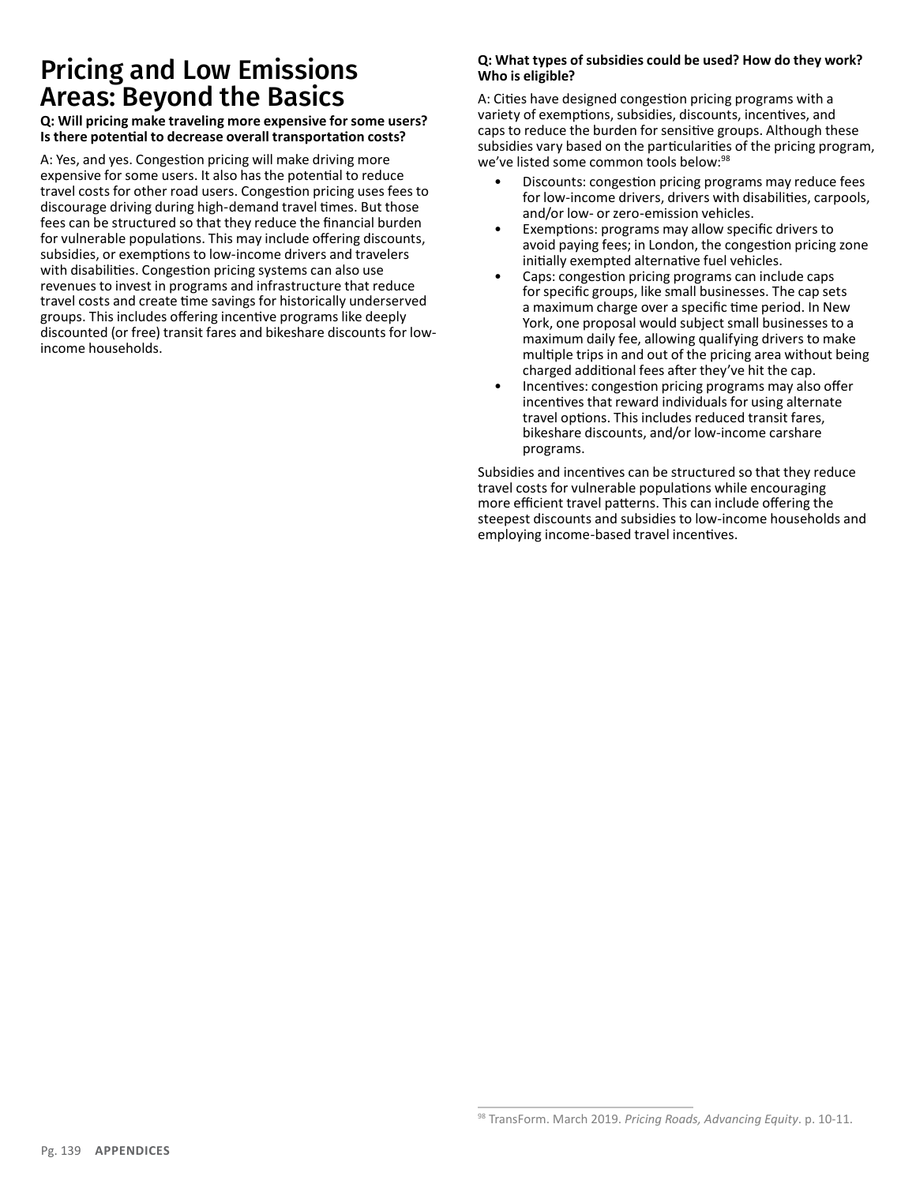## Pricing and Low Emissions Areas: Beyond the Basics

#### **Q: Will pricing make traveling more expensive for some users? Is there potential to decrease overall transportation costs?**

A: Yes, and yes. Congestion pricing will make driving more expensive for some users. It also has the potential to reduce travel costs for other road users. Congestion pricing uses fees to discourage driving during high-demand travel times. But those fees can be structured so that they reduce the financial burden for vulnerable populations. This may include offering discounts, subsidies, or exemptions to low-income drivers and travelers with disabilities. Congestion pricing systems can also use revenues to invest in programs and infrastructure that reduce travel costs and create time savings for historically underserved groups. This includes offering incentive programs like deeply discounted (or free) transit fares and bikeshare discounts for lowincome households.

#### **Q: What types of subsidies could be used? How do they work? Who is eligible?**

A: Cities have designed congestion pricing programs with a variety of exemptions, subsidies, discounts, incentives, and caps to reduce the burden for sensitive groups. Although these subsidies vary based on the particularities of the pricing program, we've listed some common tools below:98

- Discounts: congestion pricing programs may reduce fees for low-income drivers, drivers with disabilities, carpools, and/or low- or zero-emission vehicles.
- Exemptions: programs may allow specific drivers to avoid paying fees; in London, the congestion pricing zone initially exempted alternative fuel vehicles.
- Caps: congestion pricing programs can include caps for specific groups, like small businesses. The cap sets a maximum charge over a specific time period. In New York, one proposal would subject small businesses to a maximum daily fee, allowing qualifying drivers to make multiple trips in and out of the pricing area without being charged additional fees after they've hit the cap.
- Incentives: congestion pricing programs may also offer incentives that reward individuals for using alternate travel options. This includes reduced transit fares, bikeshare discounts, and/or low-income carshare programs.

Subsidies and incentives can be structured so that they reduce travel costs for vulnerable populations while encouraging more efficient travel patterns. This can include offering the steepest discounts and subsidies to low-income households and employing income-based travel incentives.

<sup>98</sup> TransForm. March 2019. *Pricing Roads, Advancing Equity*. p. 10-11.